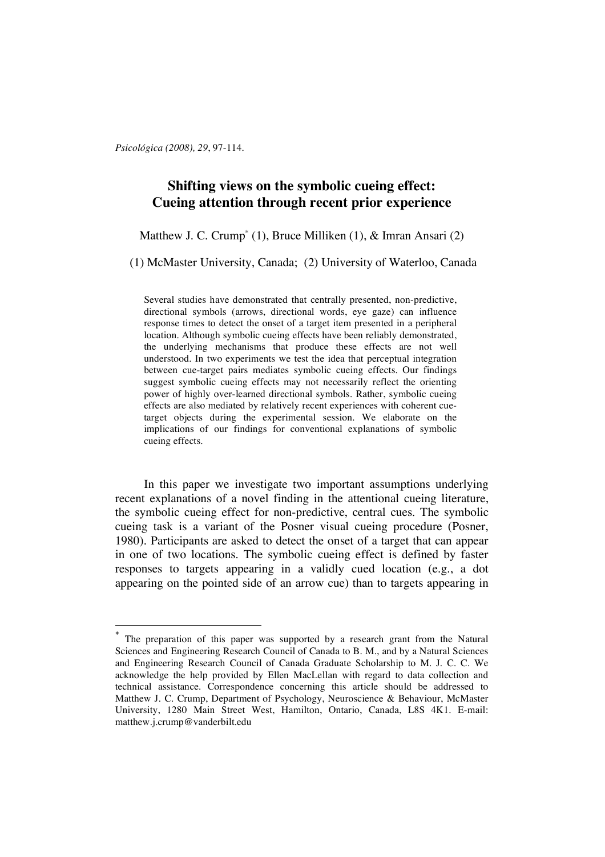*Psicológica (2008), 29*, 97-114.

# **Shifting views on the symbolic cueing effect: Cueing attention through recent prior experience**

### Matthew J. C. Crump\* (1), Bruce Milliken (1), & Imran Ansari (2)

(1) McMaster University, Canada; (2) University of Waterloo, Canada

Several studies have demonstrated that centrally presented, non-predictive, directional symbols (arrows, directional words, eye gaze) can influence response times to detect the onset of a target item presented in a peripheral location. Although symbolic cueing effects have been reliably demonstrated, the underlying mechanisms that produce these effects are not well understood. In two experiments we test the idea that perceptual integration between cue-target pairs mediates symbolic cueing effects. Our findings suggest symbolic cueing effects may not necessarily reflect the orienting power of highly over-learned directional symbols. Rather, symbolic cueing effects are also mediated by relatively recent experiences with coherent cuetarget objects during the experimental session. We elaborate on the implications of our findings for conventional explanations of symbolic cueing effects.

In this paper we investigate two important assumptions underlying recent explanations of a novel finding in the attentional cueing literature, the symbolic cueing effect for non-predictive, central cues. The symbolic cueing task is a variant of the Posner visual cueing procedure (Posner, 1980). Participants are asked to detect the onset of a target that can appear in one of two locations. The symbolic cueing effect is defined by faster responses to targets appearing in a validly cued location (e.g., a dot appearing on the pointed side of an arrow cue) than to targets appearing in

The preparation of this paper was supported by a research grant from the Natural Sciences and Engineering Research Council of Canada to B. M., and by a Natural Sciences and Engineering Research Council of Canada Graduate Scholarship to M. J. C. C. We acknowledge the help provided by Ellen MacLellan with regard to data collection and technical assistance. Correspondence concerning this article should be addressed to Matthew J. C. Crump, Department of Psychology, Neuroscience & Behaviour, McMaster University, 1280 Main Street West, Hamilton, Ontario, Canada, L8S 4K1. E-mail: matthew.j.crump@vanderbilt.edu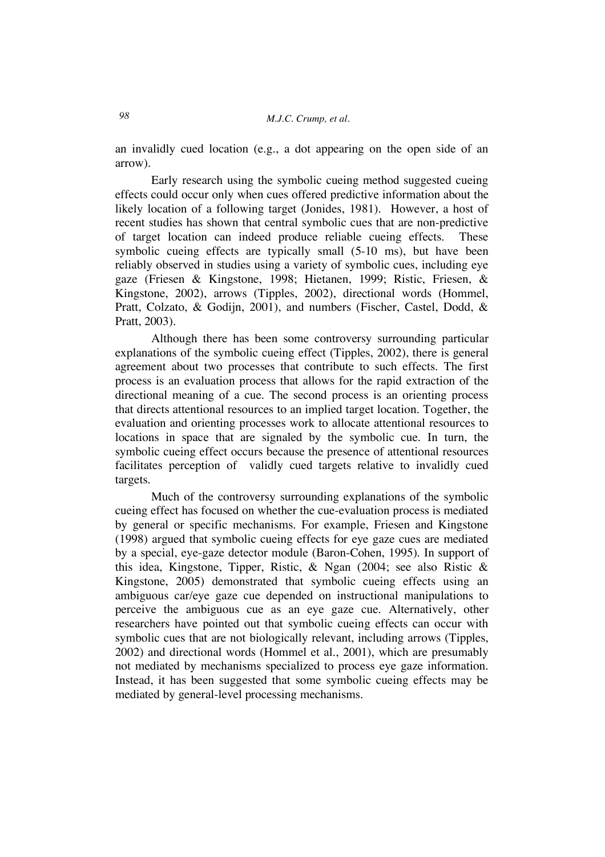an invalidly cued location (e.g., a dot appearing on the open side of an arrow).

Early research using the symbolic cueing method suggested cueing effects could occur only when cues offered predictive information about the likely location of a following target (Jonides, 1981). However, a host of recent studies has shown that central symbolic cues that are non-predictive of target location can indeed produce reliable cueing effects. These symbolic cueing effects are typically small (5-10 ms), but have been reliably observed in studies using a variety of symbolic cues, including eye gaze (Friesen & Kingstone, 1998; Hietanen, 1999; Ristic, Friesen, & Kingstone, 2002), arrows (Tipples, 2002), directional words (Hommel, Pratt, Colzato, & Godijn, 2001), and numbers (Fischer, Castel, Dodd, & Pratt, 2003).

Although there has been some controversy surrounding particular explanations of the symbolic cueing effect (Tipples, 2002), there is general agreement about two processes that contribute to such effects. The first process is an evaluation process that allows for the rapid extraction of the directional meaning of a cue. The second process is an orienting process that directs attentional resources to an implied target location. Together, the evaluation and orienting processes work to allocate attentional resources to locations in space that are signaled by the symbolic cue. In turn, the symbolic cueing effect occurs because the presence of attentional resources facilitates perception of validly cued targets relative to invalidly cued targets.

Much of the controversy surrounding explanations of the symbolic cueing effect has focused on whether the cue-evaluation process is mediated by general or specific mechanisms. For example, Friesen and Kingstone (1998) argued that symbolic cueing effects for eye gaze cues are mediated by a special, eye-gaze detector module (Baron-Cohen, 1995). In support of this idea, Kingstone, Tipper, Ristic, & Ngan (2004; see also Ristic & Kingstone, 2005) demonstrated that symbolic cueing effects using an ambiguous car/eye gaze cue depended on instructional manipulations to perceive the ambiguous cue as an eye gaze cue. Alternatively, other researchers have pointed out that symbolic cueing effects can occur with symbolic cues that are not biologically relevant, including arrows (Tipples, 2002) and directional words (Hommel et al., 2001), which are presumably not mediated by mechanisms specialized to process eye gaze information. Instead, it has been suggested that some symbolic cueing effects may be mediated by general-level processing mechanisms.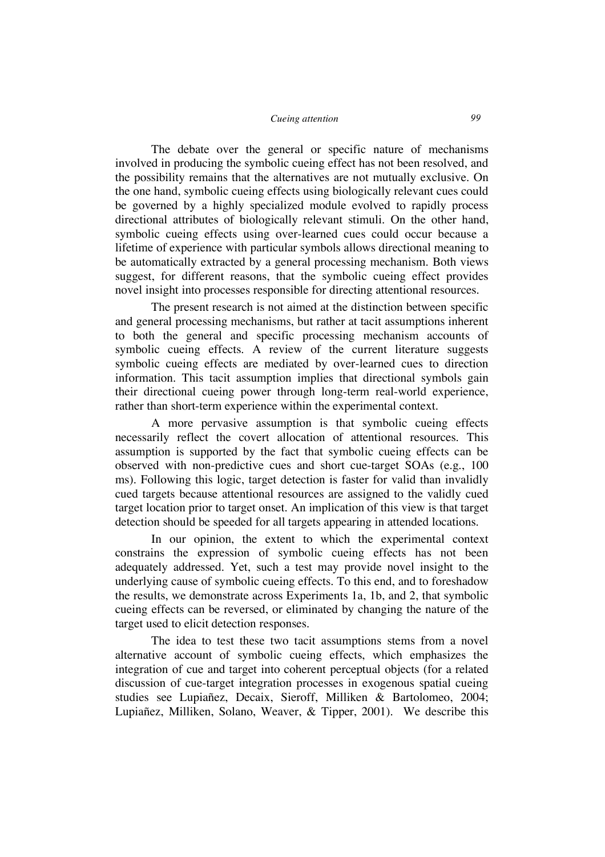The debate over the general or specific nature of mechanisms involved in producing the symbolic cueing effect has not been resolved, and the possibility remains that the alternatives are not mutually exclusive. On the one hand, symbolic cueing effects using biologically relevant cues could be governed by a highly specialized module evolved to rapidly process directional attributes of biologically relevant stimuli. On the other hand, symbolic cueing effects using over-learned cues could occur because a lifetime of experience with particular symbols allows directional meaning to be automatically extracted by a general processing mechanism. Both views suggest, for different reasons, that the symbolic cueing effect provides novel insight into processes responsible for directing attentional resources.

The present research is not aimed at the distinction between specific and general processing mechanisms, but rather at tacit assumptions inherent to both the general and specific processing mechanism accounts of symbolic cueing effects. A review of the current literature suggests symbolic cueing effects are mediated by over-learned cues to direction information. This tacit assumption implies that directional symbols gain their directional cueing power through long-term real-world experience, rather than short-term experience within the experimental context.

A more pervasive assumption is that symbolic cueing effects necessarily reflect the covert allocation of attentional resources. This assumption is supported by the fact that symbolic cueing effects can be observed with non-predictive cues and short cue-target SOAs (e.g., 100 ms). Following this logic, target detection is faster for valid than invalidly cued targets because attentional resources are assigned to the validly cued target location prior to target onset. An implication of this view is that target detection should be speeded for all targets appearing in attended locations.

In our opinion, the extent to which the experimental context constrains the expression of symbolic cueing effects has not been adequately addressed. Yet, such a test may provide novel insight to the underlying cause of symbolic cueing effects. To this end, and to foreshadow the results, we demonstrate across Experiments 1a, 1b, and 2, that symbolic cueing effects can be reversed, or eliminated by changing the nature of the target used to elicit detection responses.

The idea to test these two tacit assumptions stems from a novel alternative account of symbolic cueing effects, which emphasizes the integration of cue and target into coherent perceptual objects (for a related discussion of cue-target integration processes in exogenous spatial cueing studies see Lupiañez, Decaix, Sieroff, Milliken & Bartolomeo, 2004; Lupiañez, Milliken, Solano, Weaver, & Tipper, 2001). We describe this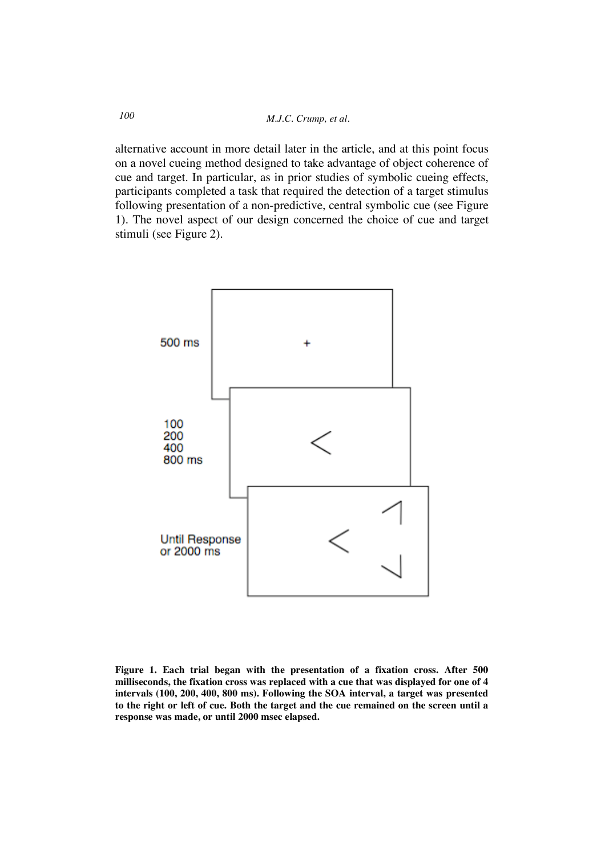alternative account in more detail later in the article, and at this point focus on a novel cueing method designed to take advantage of object coherence of cue and target. In particular, as in prior studies of symbolic cueing effects, participants completed a task that required the detection of a target stimulus following presentation of a non-predictive, central symbolic cue (see Figure 1). The novel aspect of our design concerned the choice of cue and target stimuli (see Figure 2).



**Figure 1. Each trial began with the presentation of a fixation cross. After 500 milliseconds, the fixation cross was replaced with a cue that was displayed for one of 4 intervals (100, 200, 400, 800 ms). Following the SOA interval, a target was presented to the right or left of cue. Both the target and the cue remained on the screen until a response was made, or until 2000 msec elapsed.**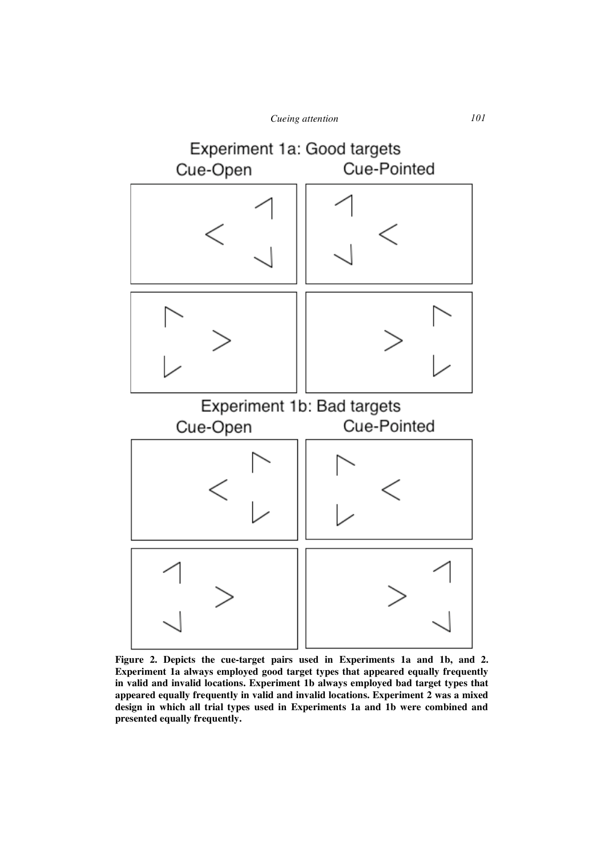

**Figure 2. Depicts the cue-target pairs used in Experiments 1a and 1b, and 2. Experiment 1a always employed good target types that appeared equally frequently in valid and invalid locations. Experiment 1b always employed bad target types that appeared equally frequently in valid and invalid locations. Experiment 2 was a mixed design in which all trial types used in Experiments 1a and 1b were combined and presented equally frequently.**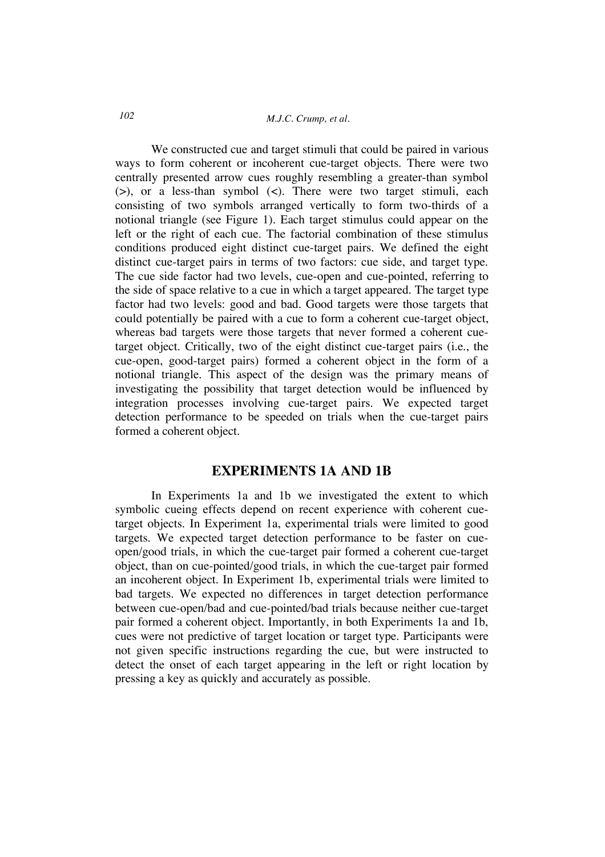# *M.J.C. Crump, et al. 102*

We constructed cue and target stimuli that could be paired in various ways to form coherent or incoherent cue-target objects. There were two centrally presented arrow cues roughly resembling a greater-than symbol (>), or a less-than symbol (<). There were two target stimuli, each consisting of two symbols arranged vertically to form two-thirds of a notional triangle (see Figure 1). Each target stimulus could appear on the left or the right of each cue. The factorial combination of these stimulus conditions produced eight distinct cue-target pairs. We defined the eight distinct cue-target pairs in terms of two factors: cue side, and target type. The cue side factor had two levels, cue-open and cue-pointed, referring to the side of space relative to a cue in which a target appeared. The target type factor had two levels: good and bad. Good targets were those targets that could potentially be paired with a cue to form a coherent cue-target object, whereas bad targets were those targets that never formed a coherent cuetarget object. Critically, two of the eight distinct cue-target pairs (i.e., the cue-open, good-target pairs) formed a coherent object in the form of a notional triangle. This aspect of the design was the primary means of investigating the possibility that target detection would be influenced by integration processes involving cue-target pairs. We expected target detection performance to be speeded on trials when the cue-target pairs formed a coherent object.

## **EXPERIMENTS 1A AND 1B**

In Experiments 1a and 1b we investigated the extent to which symbolic cueing effects depend on recent experience with coherent cuetarget objects. In Experiment 1a, experimental trials were limited to good targets. We expected target detection performance to be faster on cueopen/good trials, in which the cue-target pair formed a coherent cue-target object, than on cue-pointed/good trials, in which the cue-target pair formed an incoherent object. In Experiment 1b, experimental trials were limited to bad targets. We expected no differences in target detection performance between cue-open/bad and cue-pointed/bad trials because neither cue-target pair formed a coherent object. Importantly, in both Experiments 1a and 1b, cues were not predictive of target location or target type. Participants were not given specific instructions regarding the cue, but were instructed to detect the onset of each target appearing in the left or right location by pressing a key as quickly and accurately as possible.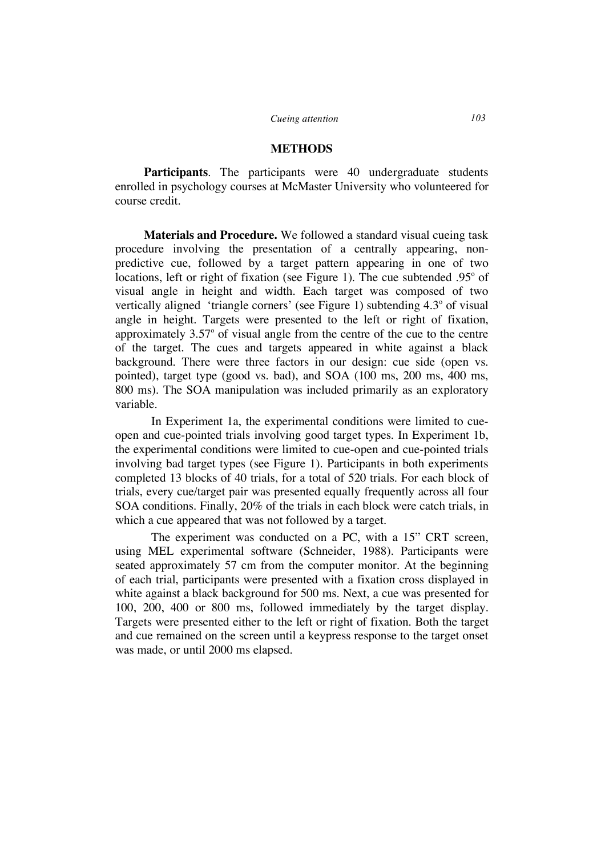#### **METHODS**

**Participants***.* The participants were 40 undergraduate students enrolled in psychology courses at McMaster University who volunteered for course credit.

**Materials and Procedure.** We followed a standard visual cueing task procedure involving the presentation of a centrally appearing, nonpredictive cue, followed by a target pattern appearing in one of two locations, left or right of fixation (see Figure 1). The cue subtended  $.95^{\circ}$  of visual angle in height and width. Each target was composed of two vertically aligned 'triangle corners' (see Figure 1) subtending  $4.3^{\circ}$  of visual angle in height. Targets were presented to the left or right of fixation, approximately  $3.57^{\circ}$  of visual angle from the centre of the cue to the centre of the target. The cues and targets appeared in white against a black background. There were three factors in our design: cue side (open vs. pointed), target type (good vs. bad), and SOA (100 ms, 200 ms, 400 ms, 800 ms). The SOA manipulation was included primarily as an exploratory variable.

In Experiment 1a, the experimental conditions were limited to cueopen and cue-pointed trials involving good target types. In Experiment 1b, the experimental conditions were limited to cue-open and cue-pointed trials involving bad target types (see Figure 1). Participants in both experiments completed 13 blocks of 40 trials, for a total of 520 trials. For each block of trials, every cue/target pair was presented equally frequently across all four SOA conditions. Finally, 20% of the trials in each block were catch trials, in which a cue appeared that was not followed by a target.

The experiment was conducted on a PC, with a 15" CRT screen, using MEL experimental software (Schneider, 1988). Participants were seated approximately 57 cm from the computer monitor. At the beginning of each trial, participants were presented with a fixation cross displayed in white against a black background for 500 ms. Next, a cue was presented for 100, 200, 400 or 800 ms, followed immediately by the target display. Targets were presented either to the left or right of fixation. Both the target and cue remained on the screen until a keypress response to the target onset was made, or until 2000 ms elapsed.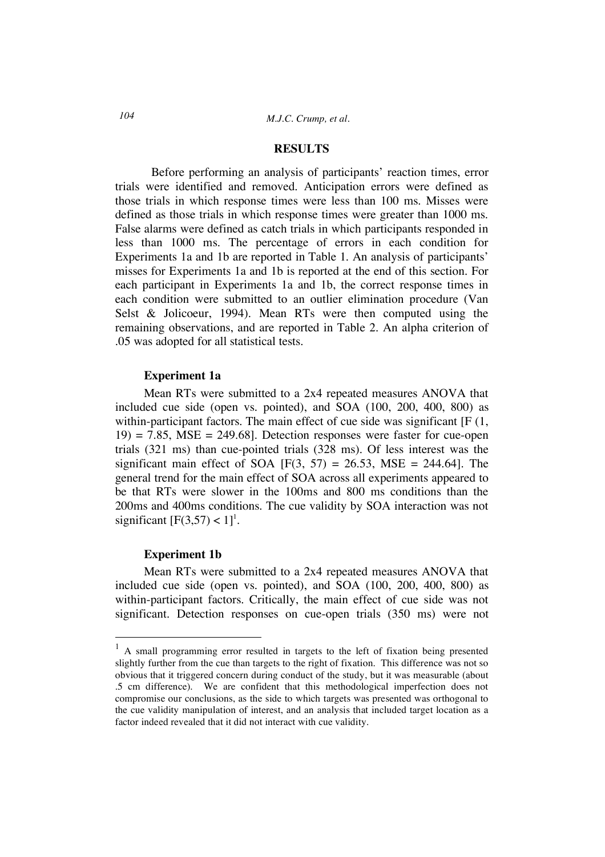#### **RESULTS**

Before performing an analysis of participants' reaction times, error trials were identified and removed. Anticipation errors were defined as those trials in which response times were less than 100 ms. Misses were defined as those trials in which response times were greater than 1000 ms. False alarms were defined as catch trials in which participants responded in less than 1000 ms. The percentage of errors in each condition for Experiments 1a and 1b are reported in Table 1. An analysis of participants' misses for Experiments 1a and 1b is reported at the end of this section. For each participant in Experiments 1a and 1b, the correct response times in each condition were submitted to an outlier elimination procedure (Van Selst & Jolicoeur, 1994). Mean RTs were then computed using the remaining observations, and are reported in Table 2. An alpha criterion of .05 was adopted for all statistical tests.

### **Experiment 1a**

Mean RTs were submitted to a 2x4 repeated measures ANOVA that included cue side (open vs. pointed), and SOA (100, 200, 400, 800) as within-participant factors. The main effect of cue side was significant [F (1,  $19$  = 7.85, MSE = 249.68]. Detection responses were faster for cue-open trials (321 ms) than cue-pointed trials (328 ms). Of less interest was the significant main effect of SOA  $[F(3, 57) = 26.53, MSE = 244.64]$ . The general trend for the main effect of SOA across all experiments appeared to be that RTs were slower in the 100ms and 800 ms conditions than the 200ms and 400ms conditions. The cue validity by SOA interaction was not significant  $[F(3,57) < 1]$ <sup>1</sup>.

### **Experiment 1b**

Mean RTs were submitted to a 2x4 repeated measures ANOVA that included cue side (open vs. pointed), and SOA (100, 200, 400, 800) as within-participant factors. Critically, the main effect of cue side was not significant. Detection responses on cue-open trials (350 ms) were not

<sup>&</sup>lt;sup>1</sup> A small programming error resulted in targets to the left of fixation being presented slightly further from the cue than targets to the right of fixation. This difference was not so obvious that it triggered concern during conduct of the study, but it was measurable (about .5 cm difference). We are confident that this methodological imperfection does not compromise our conclusions, as the side to which targets was presented was orthogonal to the cue validity manipulation of interest, and an analysis that included target location as a factor indeed revealed that it did not interact with cue validity.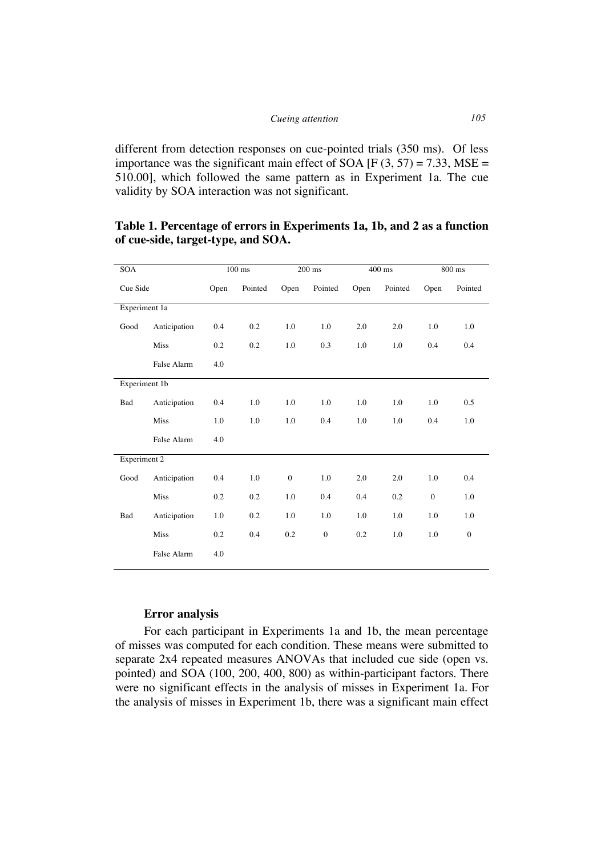different from detection responses on cue-pointed trials (350 ms). Of less importance was the significant main effect of SOA  $[F (3, 57) = 7.33, MSE =$ 510.00], which followed the same pattern as in Experiment 1a. The cue validity by SOA interaction was not significant.

| <b>SOA</b>          |              | $100$ ms |         |              | $200$ ms     |      | $400$ ms | 800 ms       |              |  |
|---------------------|--------------|----------|---------|--------------|--------------|------|----------|--------------|--------------|--|
| Cue Side            |              | Open     | Pointed | Open         | Pointed      | Open | Pointed  | Open         | Pointed      |  |
| Experiment 1a       |              |          |         |              |              |      |          |              |              |  |
| Good                | Anticipation | 0.4      | 0.2     | 1.0          | 1.0          | 2.0  | 2.0      | 1.0          | 1.0          |  |
|                     | <b>Miss</b>  | 0.2      | 0.2     | 1.0          | 0.3          | 1.0  | 1.0      | 0.4          | 0.4          |  |
|                     | False Alarm  | 4.0      |         |              |              |      |          |              |              |  |
| Experiment 1b       |              |          |         |              |              |      |          |              |              |  |
| Bad                 | Anticipation | 0.4      | 1.0     | 1.0          | 1.0          | 1.0  | 1.0      | 1.0          | 0.5          |  |
|                     | <b>Miss</b>  | 1.0      | 1.0     | 1.0          | 0.4          | 1.0  | 1.0      | 0.4          | 1.0          |  |
|                     | False Alarm  | 4.0      |         |              |              |      |          |              |              |  |
| <b>Experiment 2</b> |              |          |         |              |              |      |          |              |              |  |
| Good                | Anticipation | 0.4      | 1.0     | $\mathbf{0}$ | 1.0          | 2.0  | 2.0      | 1.0          | 0.4          |  |
|                     | <b>Miss</b>  | 0.2      | 0.2     | 1.0          | 0.4          | 0.4  | 0.2      | $\mathbf{0}$ | 1.0          |  |
| Bad                 | Anticipation | 1.0      | 0.2     | 1.0          | 1.0          | 1.0  | 1.0      | 1.0          | 1.0          |  |
|                     | <b>Miss</b>  | 0.2      | 0.4     | 0.2          | $\mathbf{0}$ | 0.2  | 1.0      | 1.0          | $\mathbf{0}$ |  |
|                     | False Alarm  | 4.0      |         |              |              |      |          |              |              |  |

# **Table 1. Percentage of errors in Experiments 1a, 1b, and 2 as a function of cue-side, target-type, and SOA.**

### **Error analysis**

For each participant in Experiments 1a and 1b, the mean percentage of misses was computed for each condition. These means were submitted to separate 2x4 repeated measures ANOVAs that included cue side (open vs. pointed) and SOA (100, 200, 400, 800) as within-participant factors. There were no significant effects in the analysis of misses in Experiment 1a. For the analysis of misses in Experiment 1b, there was a significant main effect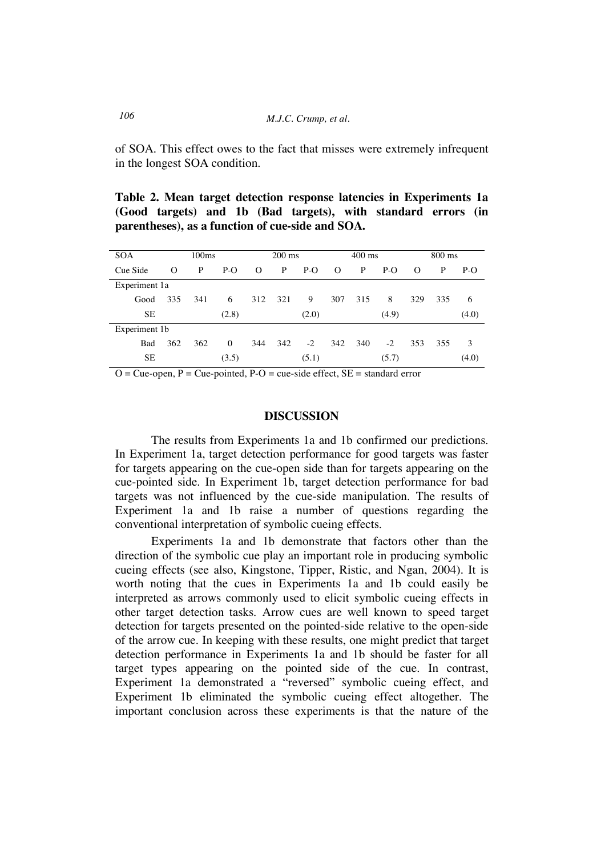of SOA. This effect owes to the fact that misses were extremely infrequent in the longest SOA condition.

**Table 2. Mean target detection response latencies in Experiments 1a (Good targets) and 1b (Bad targets), with standard errors (in parentheses), as a function of cue-side and SOA.**

| <b>SOA</b><br>100 <sub>ms</sub> |     |     |          | $200 \text{ ms}$ |     |       |          | $400$ ms |       |          | $800 \text{ ms}$ |       |  |
|---------------------------------|-----|-----|----------|------------------|-----|-------|----------|----------|-------|----------|------------------|-------|--|
| Cue Side                        | O   | P   | $P-O$    | $\Omega$         | P   | $P-O$ | $\Omega$ | P        | $P-O$ | $\Omega$ | P                | P-O   |  |
| Experiment 1a                   |     |     |          |                  |     |       |          |          |       |          |                  |       |  |
| Good                            | 335 | 341 | 6        | 312              | 321 | 9     | 307      | 315      | 8     | 329      | 335              | 6     |  |
| <b>SE</b>                       |     |     | (2.8)    | (2.0)            |     |       | (4.9)    |          |       |          | (4.0)            |       |  |
| Experiment 1b                   |     |     |          |                  |     |       |          |          |       |          |                  |       |  |
| Bad                             | 362 | 362 | $\Omega$ | 344              | 342 | $-2$  | 342      | 340      | $-2$  | 353      | 355              | 3     |  |
| SЕ                              |     |     | (3.5)    |                  |     | (5.1) |          |          | (5.7) |          |                  | (4.0) |  |

 $O = C$ ue-open,  $P = C$ ue-pointed,  $P - O = C$ ue-side effect,  $SE =$  standard error

### **DISCUSSION**

The results from Experiments 1a and 1b confirmed our predictions. In Experiment 1a, target detection performance for good targets was faster for targets appearing on the cue-open side than for targets appearing on the cue-pointed side. In Experiment 1b, target detection performance for bad targets was not influenced by the cue-side manipulation. The results of Experiment 1a and 1b raise a number of questions regarding the conventional interpretation of symbolic cueing effects.

Experiments 1a and 1b demonstrate that factors other than the direction of the symbolic cue play an important role in producing symbolic cueing effects (see also, Kingstone, Tipper, Ristic, and Ngan, 2004). It is worth noting that the cues in Experiments 1a and 1b could easily be interpreted as arrows commonly used to elicit symbolic cueing effects in other target detection tasks. Arrow cues are well known to speed target detection for targets presented on the pointed-side relative to the open-side of the arrow cue. In keeping with these results, one might predict that target detection performance in Experiments 1a and 1b should be faster for all target types appearing on the pointed side of the cue. In contrast, Experiment 1a demonstrated a "reversed" symbolic cueing effect, and Experiment 1b eliminated the symbolic cueing effect altogether. The important conclusion across these experiments is that the nature of the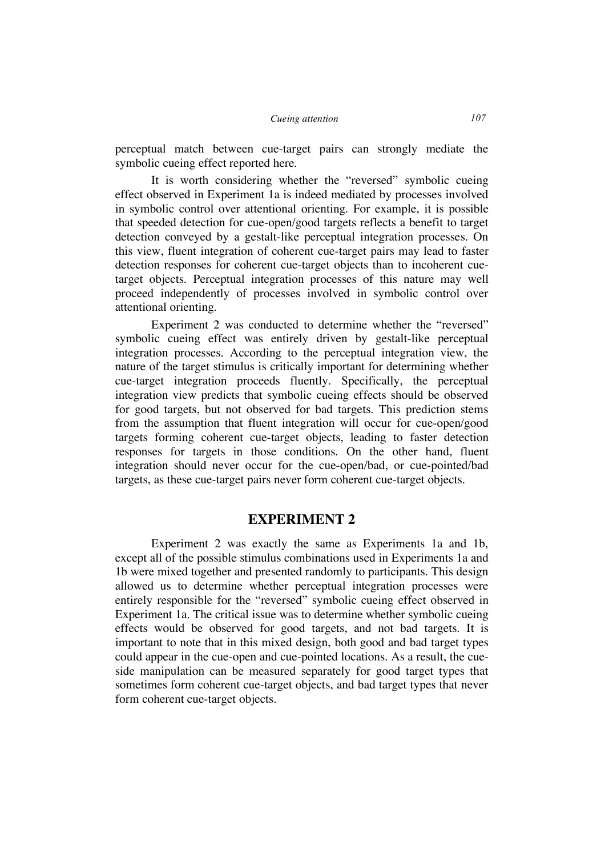perceptual match between cue-target pairs can strongly mediate the symbolic cueing effect reported here.

It is worth considering whether the "reversed" symbolic cueing effect observed in Experiment 1a is indeed mediated by processes involved in symbolic control over attentional orienting. For example, it is possible that speeded detection for cue-open/good targets reflects a benefit to target detection conveyed by a gestalt-like perceptual integration processes. On this view, fluent integration of coherent cue-target pairs may lead to faster detection responses for coherent cue-target objects than to incoherent cuetarget objects. Perceptual integration processes of this nature may well proceed independently of processes involved in symbolic control over attentional orienting.

Experiment 2 was conducted to determine whether the "reversed" symbolic cueing effect was entirely driven by gestalt-like perceptual integration processes. According to the perceptual integration view, the nature of the target stimulus is critically important for determining whether cue-target integration proceeds fluently. Specifically, the perceptual integration view predicts that symbolic cueing effects should be observed for good targets, but not observed for bad targets. This prediction stems from the assumption that fluent integration will occur for cue-open/good targets forming coherent cue-target objects, leading to faster detection responses for targets in those conditions. On the other hand, fluent integration should never occur for the cue-open/bad, or cue-pointed/bad targets, as these cue-target pairs never form coherent cue-target objects.

# **EXPERIMENT 2**

Experiment 2 was exactly the same as Experiments 1a and 1b, except all of the possible stimulus combinations used in Experiments 1a and 1b were mixed together and presented randomly to participants. This design allowed us to determine whether perceptual integration processes were entirely responsible for the "reversed" symbolic cueing effect observed in Experiment 1a. The critical issue was to determine whether symbolic cueing effects would be observed for good targets, and not bad targets. It is important to note that in this mixed design, both good and bad target types could appear in the cue-open and cue-pointed locations. As a result, the cueside manipulation can be measured separately for good target types that sometimes form coherent cue-target objects, and bad target types that never form coherent cue-target objects.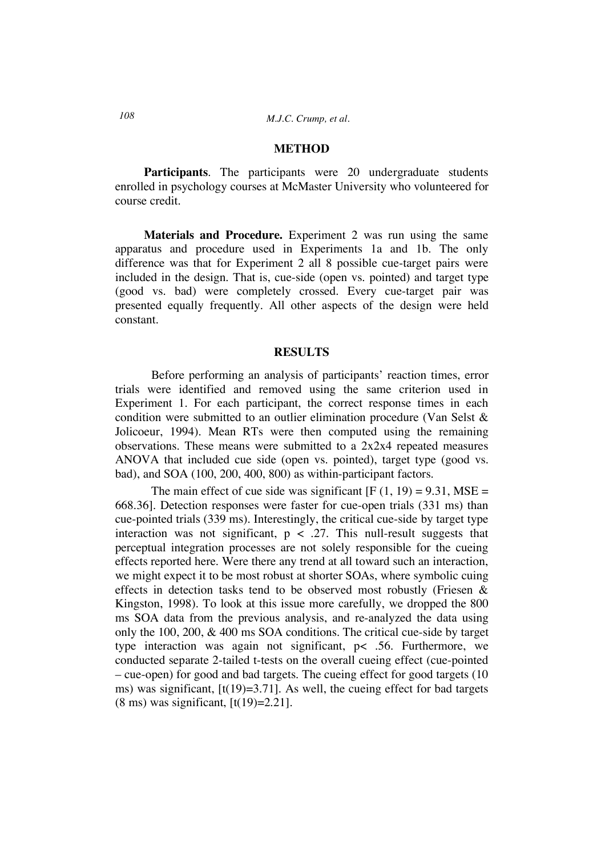#### **METHOD**

**Participants***.* The participants were 20 undergraduate students enrolled in psychology courses at McMaster University who volunteered for course credit.

**Materials and Procedure.** Experiment 2 was run using the same apparatus and procedure used in Experiments 1a and 1b. The only difference was that for Experiment 2 all 8 possible cue-target pairs were included in the design. That is, cue-side (open vs. pointed) and target type (good vs. bad) were completely crossed. Every cue-target pair was presented equally frequently. All other aspects of the design were held constant.

#### **RESULTS**

Before performing an analysis of participants' reaction times, error trials were identified and removed using the same criterion used in Experiment 1. For each participant, the correct response times in each condition were submitted to an outlier elimination procedure (Van Selst & Jolicoeur, 1994). Mean RTs were then computed using the remaining observations. These means were submitted to a 2x2x4 repeated measures ANOVA that included cue side (open vs. pointed), target type (good vs. bad), and SOA (100, 200, 400, 800) as within-participant factors.

The main effect of cue side was significant  $[F (1, 19) = 9.31, MSE =$ 668.36]. Detection responses were faster for cue-open trials (331 ms) than cue-pointed trials (339 ms). Interestingly, the critical cue-side by target type interaction was not significant,  $p < .27$ . This null-result suggests that perceptual integration processes are not solely responsible for the cueing effects reported here. Were there any trend at all toward such an interaction, we might expect it to be most robust at shorter SOAs, where symbolic cuing effects in detection tasks tend to be observed most robustly (Friesen & Kingston, 1998). To look at this issue more carefully, we dropped the 800 ms SOA data from the previous analysis, and re-analyzed the data using only the 100, 200, & 400 ms SOA conditions. The critical cue-side by target type interaction was again not significant, p< .56. Furthermore, we conducted separate 2-tailed t-tests on the overall cueing effect (cue-pointed – cue-open) for good and bad targets. The cueing effect for good targets (10 ms) was significant,  $[t(19)=3.71]$ . As well, the cueing effect for bad targets  $(8 \text{ ms})$  was significant,  $\lbrack t(19)=2.21 \rbrack$ .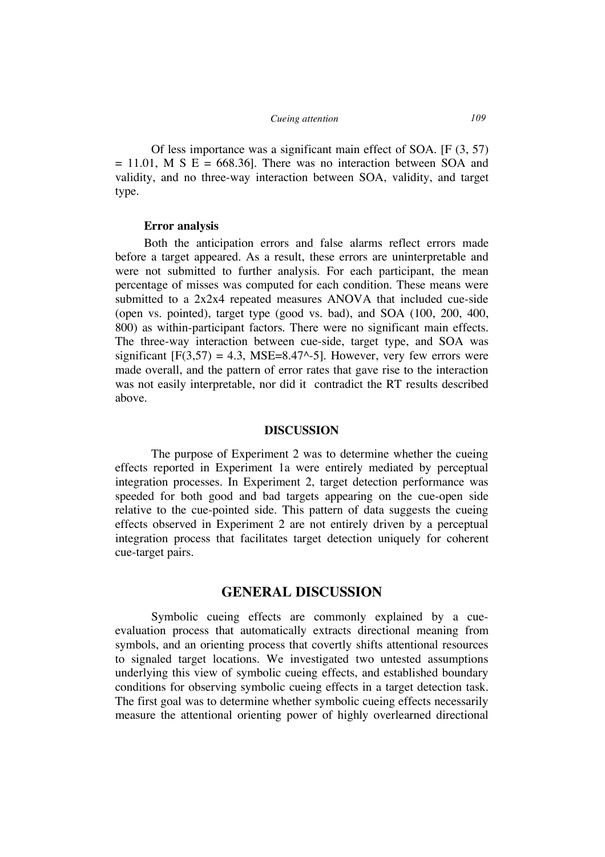Of less importance was a significant main effect of SOA. [F (3, 57)  $= 11.01$ , M S E = 668.36. There was no interaction between SOA and validity, and no three-way interaction between SOA, validity, and target type.

#### **Error analysis**

Both the anticipation errors and false alarms reflect errors made before a target appeared. As a result, these errors are uninterpretable and were not submitted to further analysis. For each participant, the mean percentage of misses was computed for each condition. These means were submitted to a 2x2x4 repeated measures ANOVA that included cue-side (open vs. pointed), target type (good vs. bad), and SOA (100, 200, 400, 800) as within-participant factors. There were no significant main effects. The three-way interaction between cue-side, target type, and SOA was significant  $[F(3,57) = 4.3, MSE=8.47^{\circ} - 5]$ . However, very few errors were made overall, and the pattern of error rates that gave rise to the interaction was not easily interpretable, nor did it contradict the RT results described above.

#### **DISCUSSION**

The purpose of Experiment 2 was to determine whether the cueing effects reported in Experiment 1a were entirely mediated by perceptual integration processes. In Experiment 2, target detection performance was speeded for both good and bad targets appearing on the cue-open side relative to the cue-pointed side. This pattern of data suggests the cueing effects observed in Experiment 2 are not entirely driven by a perceptual integration process that facilitates target detection uniquely for coherent cue-target pairs.

### **GENERAL DISCUSSION**

Symbolic cueing effects are commonly explained by a cueevaluation process that automatically extracts directional meaning from symbols, and an orienting process that covertly shifts attentional resources to signaled target locations. We investigated two untested assumptions underlying this view of symbolic cueing effects, and established boundary conditions for observing symbolic cueing effects in a target detection task. The first goal was to determine whether symbolic cueing effects necessarily measure the attentional orienting power of highly overlearned directional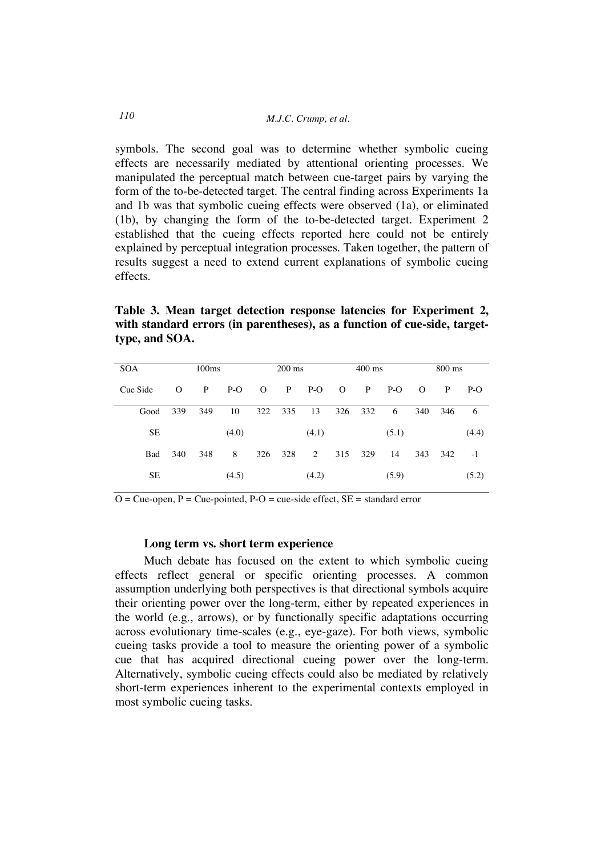symbols. The second goal was to determine whether symbolic cueing effects are necessarily mediated by attentional orienting processes. We manipulated the perceptual match between cue-target pairs by varying the form of the to-be-detected target. The central finding across Experiments 1a and 1b was that symbolic cueing effects were observed (1a), or eliminated (1b), by changing the form of the to-be-detected target. Experiment 2 established that the cueing effects reported here could not be entirely explained by perceptual integration processes. Taken together, the pattern of results suggest a need to extend current explanations of symbolic cueing effects.

**Table 3. Mean target detection response latencies for Experiment 2, with standard errors (in parentheses), as a function of cue-side, targettype, and SOA.**

| <b>SOA</b> | 100ms    |     |       | $200 \text{ ms}$ |     |       | $400 \text{ ms}$ |     |       | $800 \text{ ms}$ |     |       |
|------------|----------|-----|-------|------------------|-----|-------|------------------|-----|-------|------------------|-----|-------|
| Cue Side   | $\Omega$ | P   | $P-O$ | $\Omega$         | P   | $P-O$ | $\Omega$         | P   | $P-O$ | $\Omega$         | P   | $P-O$ |
| Good       | 339      | 349 | 10    | 322              | 335 | 13    | 326              | 332 | 6     | 340              | 346 | 6     |
| SЕ         |          |     | (4.0) |                  |     | (4.1) |                  |     | (5.1) |                  |     | (4.4) |
| Bad        | 340      | 348 | 8     | 326              | 328 | 2     | 315              | 329 | 14    | 343              | 342 | $-1$  |
| <b>SE</b>  |          |     | (4.5) |                  |     | (4.2) |                  |     | (5.9) |                  |     | (5.2) |

 $\overline{O}$  = Cue-open, P = Cue-pointed, P-O = cue-side effect, SE = standard error

#### **Long term vs. short term experience**

Much debate has focused on the extent to which symbolic cueing effects reflect general or specific orienting processes. A common assumption underlying both perspectives is that directional symbols acquire their orienting power over the long-term, either by repeated experiences in the world (e.g., arrows), or by functionally specific adaptations occurring across evolutionary time-scales (e.g., eye-gaze). For both views, symbolic cueing tasks provide a tool to measure the orienting power of a symbolic cue that has acquired directional cueing power over the long-term. Alternatively, symbolic cueing effects could also be mediated by relatively short-term experiences inherent to the experimental contexts employed in most symbolic cueing tasks.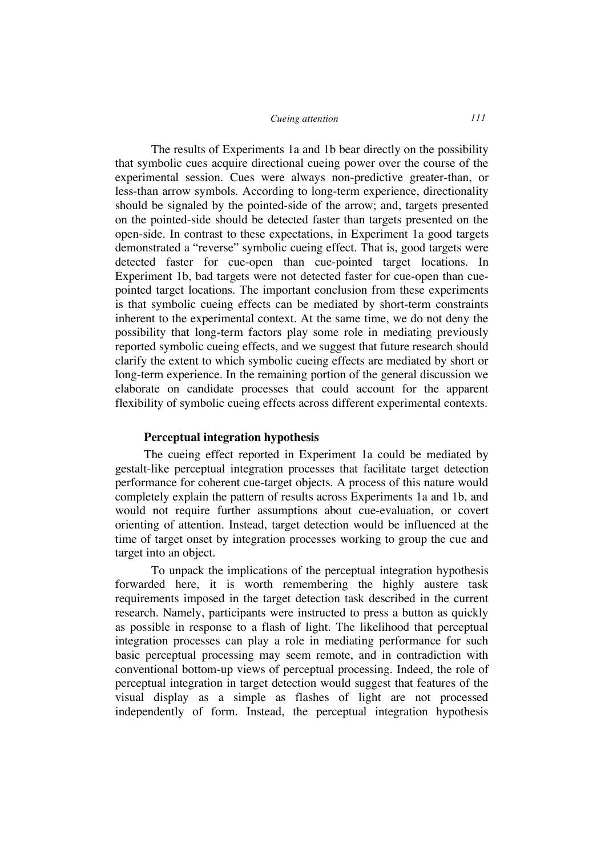The results of Experiments 1a and 1b bear directly on the possibility that symbolic cues acquire directional cueing power over the course of the experimental session. Cues were always non-predictive greater-than, or less-than arrow symbols. According to long-term experience, directionality should be signaled by the pointed-side of the arrow; and, targets presented on the pointed-side should be detected faster than targets presented on the open-side. In contrast to these expectations, in Experiment 1a good targets demonstrated a "reverse" symbolic cueing effect. That is, good targets were detected faster for cue-open than cue-pointed target locations. In Experiment 1b, bad targets were not detected faster for cue-open than cuepointed target locations. The important conclusion from these experiments is that symbolic cueing effects can be mediated by short-term constraints inherent to the experimental context. At the same time, we do not deny the possibility that long-term factors play some role in mediating previously reported symbolic cueing effects, and we suggest that future research should clarify the extent to which symbolic cueing effects are mediated by short or long-term experience. In the remaining portion of the general discussion we elaborate on candidate processes that could account for the apparent flexibility of symbolic cueing effects across different experimental contexts.

### **Perceptual integration hypothesis**

The cueing effect reported in Experiment 1a could be mediated by gestalt-like perceptual integration processes that facilitate target detection performance for coherent cue-target objects. A process of this nature would completely explain the pattern of results across Experiments 1a and 1b, and would not require further assumptions about cue-evaluation, or covert orienting of attention. Instead, target detection would be influenced at the time of target onset by integration processes working to group the cue and target into an object.

To unpack the implications of the perceptual integration hypothesis forwarded here, it is worth remembering the highly austere task requirements imposed in the target detection task described in the current research. Namely, participants were instructed to press a button as quickly as possible in response to a flash of light. The likelihood that perceptual integration processes can play a role in mediating performance for such basic perceptual processing may seem remote, and in contradiction with conventional bottom-up views of perceptual processing. Indeed, the role of perceptual integration in target detection would suggest that features of the visual display as a simple as flashes of light are not processed independently of form. Instead, the perceptual integration hypothesis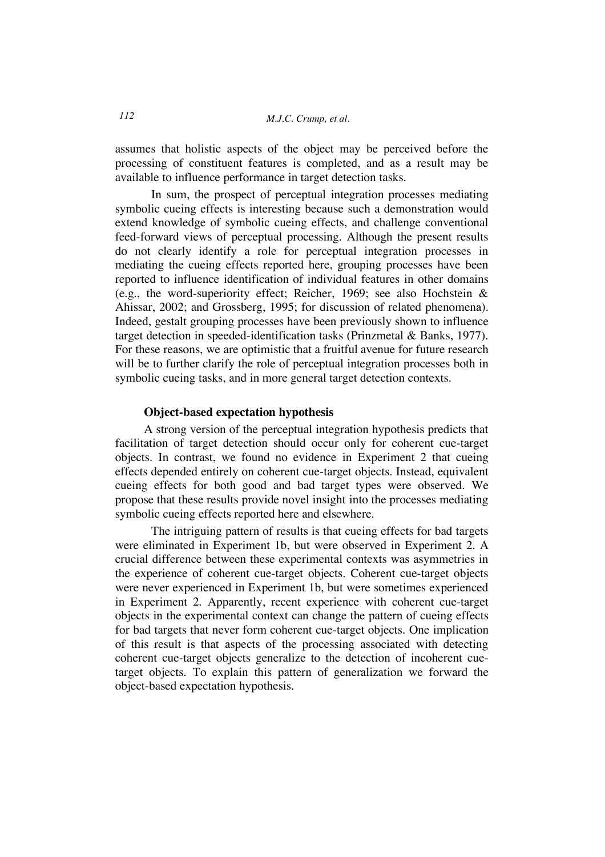assumes that holistic aspects of the object may be perceived before the processing of constituent features is completed, and as a result may be available to influence performance in target detection tasks.

In sum, the prospect of perceptual integration processes mediating symbolic cueing effects is interesting because such a demonstration would extend knowledge of symbolic cueing effects, and challenge conventional feed-forward views of perceptual processing. Although the present results do not clearly identify a role for perceptual integration processes in mediating the cueing effects reported here, grouping processes have been reported to influence identification of individual features in other domains (e.g., the word-superiority effect; Reicher, 1969; see also Hochstein & Ahissar, 2002; and Grossberg, 1995; for discussion of related phenomena). Indeed, gestalt grouping processes have been previously shown to influence target detection in speeded-identification tasks (Prinzmetal & Banks, 1977). For these reasons, we are optimistic that a fruitful avenue for future research will be to further clarify the role of perceptual integration processes both in symbolic cueing tasks, and in more general target detection contexts.

### **Object-based expectation hypothesis**

A strong version of the perceptual integration hypothesis predicts that facilitation of target detection should occur only for coherent cue-target objects. In contrast, we found no evidence in Experiment 2 that cueing effects depended entirely on coherent cue-target objects. Instead, equivalent cueing effects for both good and bad target types were observed. We propose that these results provide novel insight into the processes mediating symbolic cueing effects reported here and elsewhere.

The intriguing pattern of results is that cueing effects for bad targets were eliminated in Experiment 1b, but were observed in Experiment 2. A crucial difference between these experimental contexts was asymmetries in the experience of coherent cue-target objects. Coherent cue-target objects were never experienced in Experiment 1b, but were sometimes experienced in Experiment 2. Apparently, recent experience with coherent cue-target objects in the experimental context can change the pattern of cueing effects for bad targets that never form coherent cue-target objects. One implication of this result is that aspects of the processing associated with detecting coherent cue-target objects generalize to the detection of incoherent cuetarget objects. To explain this pattern of generalization we forward the object-based expectation hypothesis.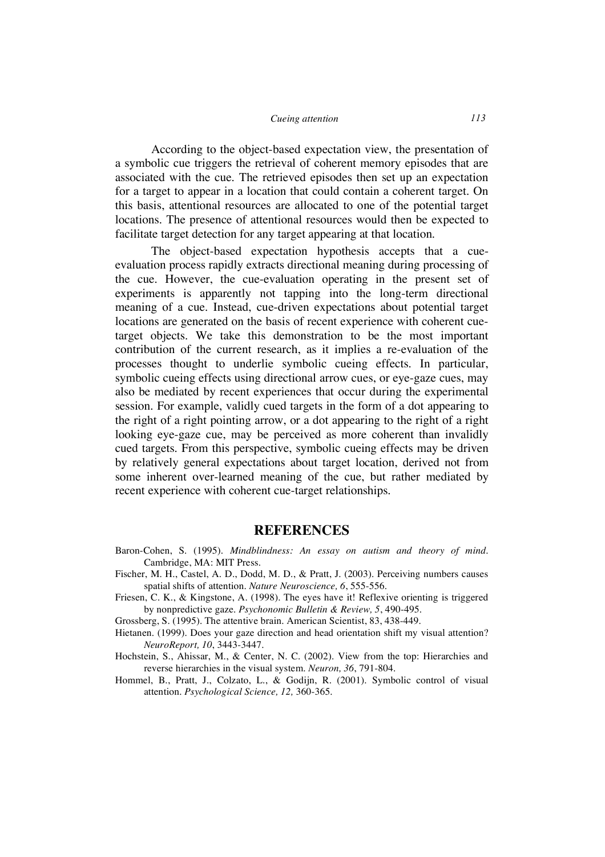According to the object-based expectation view, the presentation of a symbolic cue triggers the retrieval of coherent memory episodes that are associated with the cue. The retrieved episodes then set up an expectation for a target to appear in a location that could contain a coherent target. On this basis, attentional resources are allocated to one of the potential target locations. The presence of attentional resources would then be expected to facilitate target detection for any target appearing at that location.

The object-based expectation hypothesis accepts that a cueevaluation process rapidly extracts directional meaning during processing of the cue. However, the cue-evaluation operating in the present set of experiments is apparently not tapping into the long-term directional meaning of a cue. Instead, cue-driven expectations about potential target locations are generated on the basis of recent experience with coherent cuetarget objects. We take this demonstration to be the most important contribution of the current research, as it implies a re-evaluation of the processes thought to underlie symbolic cueing effects. In particular, symbolic cueing effects using directional arrow cues, or eye-gaze cues, may also be mediated by recent experiences that occur during the experimental session. For example, validly cued targets in the form of a dot appearing to the right of a right pointing arrow, or a dot appearing to the right of a right looking eye-gaze cue, may be perceived as more coherent than invalidly cued targets. From this perspective, symbolic cueing effects may be driven by relatively general expectations about target location, derived not from some inherent over-learned meaning of the cue, but rather mediated by recent experience with coherent cue-target relationships.

### **REFERENCES**

- Baron-Cohen, S. (1995). *Mindblindness: An essay on autism and theory of mind.* Cambridge, MA: MIT Press.
- Fischer, M. H., Castel, A. D., Dodd, M. D., & Pratt, J. (2003). Perceiving numbers causes spatial shifts of attention. *Nature Neuroscience, 6*, 555-556.
- Friesen, C. K., & Kingstone, A. (1998). The eyes have it! Reflexive orienting is triggered by nonpredictive gaze*. Psychonomic Bulletin & Review, 5*, 490-495.
- Grossberg, S. (1995). The attentive brain. American Scientist, 83, 438-449.
- Hietanen. (1999). Does your gaze direction and head orientation shift my visual attention? *NeuroReport, 10*, 3443-3447.
- Hochstein, S., Ahissar, M., & Center, N. C. (2002). View from the top: Hierarchies and reverse hierarchies in the visual system. *Neuron, 36*, 791-804.
- Hommel, B., Pratt, J., Colzato, L., & Godijn, R. (2001). Symbolic control of visual attention. *Psychological Science, 12,* 360-365.